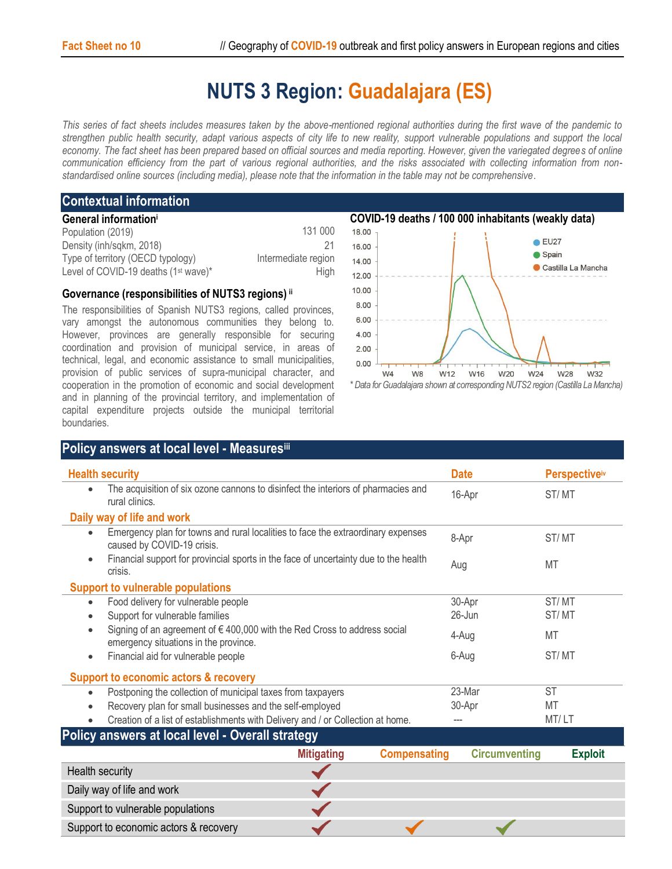## **NUTS 3 Region: Guadalajara (ES)**

*This series of fact sheets includes measures taken by the above-mentioned regional authorities during the first wave of the pandemic to strengthen public health security, adapt various aspects of city life to new reality, support vulnerable populations and support the local economy. The fact sheet has been prepared based on official sources and media reporting. However, given the variegated degrees of online communication efficiency from the part of various regional authorities, and the risks associated with collecting information from nonstandardised online sources (including media), please note that the information in the table may not be comprehensive*.

## **Contextual information**

| General information <sup>i</sup>                 |                     |
|--------------------------------------------------|---------------------|
| Population (2019)                                | 131 000             |
| Density (inh/sqkm, 2018)                         | 21                  |
| Type of territory (OECD typology)                | Intermediate region |
| Level of COVID-19 deaths (1 <sup>st</sup> wave)* | Hiah                |

## **Governance (responsibilities of NUTS3 regions) ii**

The responsibilities of Spanish NUTS3 regions, called provinces, vary amongst the autonomous communities they belong to. However, provinces are generally responsible for securing coordination and provision of municipal service, in areas of technical, legal, and economic assistance to small municipalities, provision of public services of supra-municipal character, and cooperation in the promotion of economic and social development and in planning of the provincial territory, and implementation of capital expenditure projects outside the municipal territorial boundaries.





| <b>Health security</b>                                                                                                      | <b>Date</b> | <b>Perspective</b> <sup>iv</sup> |
|-----------------------------------------------------------------------------------------------------------------------------|-------------|----------------------------------|
| The acquisition of six ozone cannons to disinfect the interiors of pharmacies and<br>rural clinics.                         | 16-Apr      | ST/MT                            |
| Daily way of life and work                                                                                                  |             |                                  |
| Emergency plan for towns and rural localities to face the extraordinary expenses<br>$\bullet$<br>caused by COVID-19 crisis. | 8-Apr       | ST/MT                            |
| Financial support for provincial sports in the face of uncertainty due to the health<br>٠<br>crisis.                        | Aug         | MT                               |
| <b>Support to vulnerable populations</b>                                                                                    |             |                                  |
| Food delivery for vulnerable people<br>$\bullet$                                                                            | 30-Apr      | ST/MT                            |
| Support for vulnerable families                                                                                             | $26$ -Jun   | ST/MT                            |
| Signing of an agreement of $\epsilon$ 400,000 with the Red Cross to address social<br>emergency situations in the province. | 4-Aug       | MT                               |
| Financial aid for vulnerable people<br>٠                                                                                    | 6-Aug       | ST/MT                            |
| <b>Support to economic actors &amp; recovery</b>                                                                            |             |                                  |
| Postponing the collection of municipal taxes from taxpayers<br>٠                                                            | 23-Mar      | <b>ST</b>                        |
| Recovery plan for small businesses and the self-employed<br>$\bullet$                                                       | 30-Apr      | MT                               |
| Creation of a list of establishments with Delivery and / or Collection at home.                                             |             | MT/LT                            |

|                                       | <b>Mitigating</b> | <b>Compensating</b> | <b>Circumventing</b> | <b>Exploit</b> |
|---------------------------------------|-------------------|---------------------|----------------------|----------------|
| Health security                       |                   |                     |                      |                |
| Daily way of life and work            |                   |                     |                      |                |
| Support to vulnerable populations     |                   |                     |                      |                |
| Support to economic actors & recovery |                   |                     |                      |                |